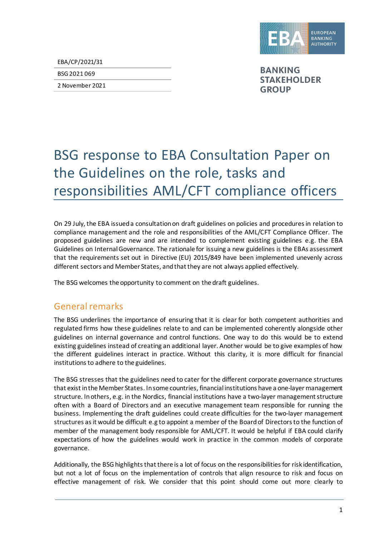

EBA/CP/2021/31

BSG 2021 069

2 November 2021

**BANKING STAKEHOLDER GROUP** 

# BSG response to EBA Consultation Paper on the Guidelines on the role, tasks and responsibilities AML/CFT compliance officers

On 29 July, the EBA issued a consultation on draft guidelines on policies and procedures in relation to compliance management and the role and responsibilities of the AML/CFT Compliance Officer. The proposed guidelines are new and are intended to complement existing guidelines e.g. the EBA Guidelines on Internal Governance. The rationale for issuing a new guidelines is the EBAs assessment that the requirements set out in Directive (EU) 2015/849 have been implemented unevenly across different sectors and Member States, and that they are not always applied effectively.

The BSG welcomes the opportunity to comment on the draft guidelines.

### General remarks

The BSG underlines the importance of ensuring that it is clear for both competent authorities and regulated firms how these guidelines relate to and can be implemented coherently alongside other guidelines on internal governance and control functions. One way to do this would be to extend existing guidelines instead of creating an additional layer. Another would be to give examples of how the different guidelines interact in practice. Without this clarity, it is more difficult for financial institutions to adhere to the guidelines.

The BSG stresses that the guidelines need to cater for the different corporate governance structures that exist in the Member States. In some countries, financial institutions have a one-layer management structure. In others, e.g. in the Nordics, financial institutions have a two-layer management structure often with a Board of Directors and an executive management team responsible for running the business. Implementing the draft guidelines could create difficulties for the two-layer management structures as it would be difficult e.g to appoint a member of the Board of Directors to the function of member of the management body responsible for AML/CFT. It would be helpful if EBA could clarify expectations of how the guidelines would work in practice in the common models of corporate governance.

Additionally, the BSG highlights that there is a lot of focus on the responsibilities for risk identification, but not a lot of focus on the implementation of controls that align resource to risk and focus on effective management of risk. We consider that this point should come out more clearly to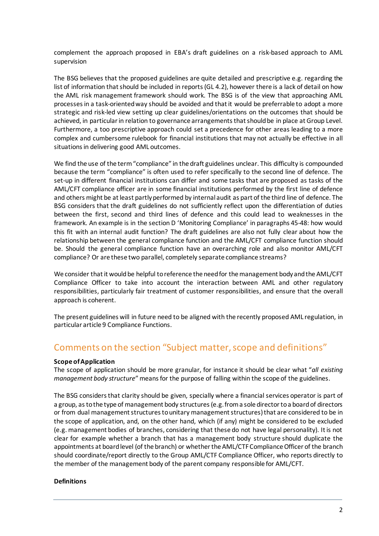complement the approach proposed in EBA's draft guidelines on a risk-based approach to AML supervision

The BSG believes that the proposed guidelines are quite detailed and prescriptive e.g. regarding the list of information that should be included in reports (GL 4.2), however there is a lack of detail on how the AML risk management framework should work. The BSG is of the view that approaching AML processes in a task-orientedway should be avoided and that it would be preferrable to adopt a more strategic and risk-led view setting up clear guidelines/orientations on the outcomes that should be achieved, in particular in relation to governance arrangements that should be in place at Group Level. Furthermore, a too prescriptive approach could set a precedence for other areas leading to a more complex and cumbersome rulebook for financial institutions that may not actually be effective in all situations in delivering good AML outcomes.

We find the use of the term "compliance" in the draft guidelines unclear. This difficulty is compounded because the term "compliance" is often used to refer specifically to the second line of defence. The set-up in different financial institutions can differ and some tasks that are proposed as tasks of the AML/CFT compliance officer are in some financial institutions performed by the first line of defence and others might be at least partly performed by internal audit as part of the third line of defence. The BSG considers that the draft guidelines do not sufficiently reflect upon the differentiation of duties between the first, second and third lines of defence and this could lead to weaknesses in the framework. An example is in the section D 'Monitoring Compliance' in paragraphs 45-48: how would this fit with an internal audit function? The draft guidelines are also not fully clear about how the relationship between the general compliance function and the AML/CFT compliance function should be. Should the general compliance function have an overarching role and also monitor AML/CFT compliance? Or are these two parallel, completely separate compliance streams?

We consider that it would be helpful to reference the need for the management bodyand the AML/CFT Compliance Officer to take into account the interaction between AML and other regulatory responsibilities, particularly fair treatment of customer responsibilities, and ensure that the overall approach is coherent.

The present guidelines will in future need to be aligned with the recently proposed AML regulation, in particular article 9 Compliance Functions.

### Comments on the section "Subject matter, scope and definitions"

#### **Scope of Application**

The scope of application should be more granular, for instance it should be clear what "*all existing management body structure*" means for the purpose of falling within the scope of the guidelines.

The BSG considers that clarity should be given, specially where a financial services operator is part of a group, as to the type of management body structures (e.g. from a sole director to a board of directors or from dual management structures to unitary management structures) that are considered to be in the scope of application, and, on the other hand, which (if any) might be considered to be excluded (e.g. management bodies of branches, considering that these do not have legal personality). It is not clear for example whether a branch that has a management body structure should duplicate the appointments at board level (of the branch) or whether the AML/CTF Compliance Officer of the branch should coordinate/report directly to the Group AML/CTF Compliance Officer, who reports directly to the member of the management body of the parent company responsible for AML/CFT.

#### **Definitions**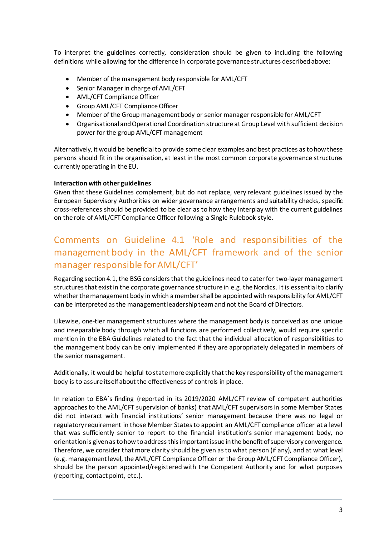To interpret the guidelines correctly, consideration should be given to including the following definitions while allowing for the difference in corporate governance structures described above:

- Member of the management body responsible for AML/CFT
- Senior Manager in charge of AML/CFT
- AML/CFT Compliance Officer
- Group AML/CFT Compliance Officer
- Member of the Group management body or senior manager responsible for AML/CFT
- Organisational and Operational Coordination structure at Group Level with sufficient decision power for the group AML/CFT management

Alternatively, it would be beneficial to provide some clear examples and best practices as to how these persons should fit in the organisation, at least in the most common corporate governance structures currently operating in the EU.

#### **Interaction with other guidelines**

Given that these Guidelines complement, but do not replace, very relevant guidelines issued by the European Supervisory Authorities on wider governance arrangements and suitability checks, specific cross-references should be provided to be clear as to how they interplay with the current guidelines on the role of AML/CFT Compliance Officer following a Single Rulebook style.

# Comments on Guideline 4.1 'Role and responsibilities of the management body in the AML/CFT framework and of the senior manager responsible for AML/CFT'

Regarding section 4.1, the BSG considers that the guidelines need to cater for two-layer management structures that exist in the corporate governance structure in e.g. the Nordics. It is essential to clarify whetherthe management body in which a member shall be appointed with responsibility for AML/CFT can be interpreted as the management leadershipteamand not the Board of Directors.

Likewise, one-tier management structures where the management body is conceived as one unique and inseparable body through which all functions are performed collectively, would require specific mention in the EBA Guidelines related to the fact that the individual allocation of responsibilities to the management body can be only implemented if they are appropriately delegated in members of the senior management.

Additionally, it would be helpful to state more explicitly that the key responsibility of the management body is to assure itself about the effectiveness of controls in place.

In relation to EBA´s finding (reported in its 2019/2020 AML/CFT review of competent authorities approaches to the AML/CFT supervision of banks) that AML/CFT supervisors in some Member States did not interact with financial institutions' senior management because there was no legal or regulatory requirement in those Member States to appoint an AML/CFT compliance officer at a level that was sufficiently senior to report to the financial institution's senior management body, no orientation is given as to how to address this important issue in the benefit of supervisory convergence. Therefore, we consider that more clarity should be given as to what person (if any), and at what level (e.g. management level, the AML/CFT Compliance Officer or the Group AML/CFT Compliance Officer), should be the person appointed/registered with the Competent Authority and for what purposes (reporting, contact point, etc.).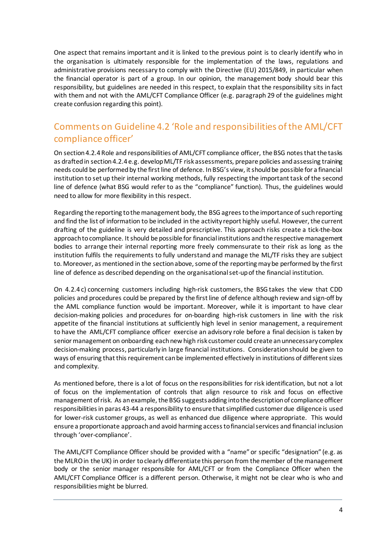One aspect that remains important and it is linked to the previous point is to clearly identify who in the organisation is ultimately responsible for the implementation of the laws, regulations and administrative provisions necessary to comply with the Directive (EU) 2015/849, in particular when the financial operator is part of a group. In our opinion, the management body should bear this responsibility, but guidelines are needed in this respect, to explain that the responsibility sits in fact with them and not with the AML/CFT Compliance Officer (e.g. paragraph 29 of the guidelines might create confusion regarding this point).

### Comments on Guideline 4.2 'Role and responsibilities of the AML/CFT compliance officer'

On section 4.2.4 Role and responsibilities of AML/CFT compliance officer, the BSG notes that the tasks as drafted in section 4.2.4 e.g. develop ML/TF risk assessments, prepare policies and assessing training needs could be performed by the first line of defence. In BSG's view, it should be possible for a financial institution to set up their internal working methods, fully respecting the important task of the second line of defence (what BSG would refer to as the "compliance" function). Thus, the guidelines would need to allow for more flexibility in this respect.

Regarding the reporting to the management body, the BSG agrees to the importance of such reporting and find the list of information to be included in the activity report highly useful. However, the current drafting of the guideline is very detailed and prescriptive. This approach risks create a tick-the-box approach to compliance. It should be possible for financial institutions and the respective management bodies to arrange their internal reporting more freely commensurate to their risk as long as the institution fulfils the requirements to fully understand and manage the ML/TF risks they are subject to. Moreover, as mentioned in the section above, some of the reporting may be performed by the first line of defence as described depending on the organisational set-up of the financial institution.

On 4.2.4 c) concerning customers including high-risk customers, the BSGtakes the view that CDD policies and procedures could be prepared by the first line of defence although review and sign-off by the AML compliance function would be important. Moreover, while it is important to have clear decision-making policies and procedures for on-boarding high-risk customers in line with the risk appetite of the financial institutions at sufficiently high level in senior management, a requirement to have the AML/CFT compliance officer exercise an advisory role before a final decision is taken by senior management on onboarding each new high risk customer could create an unnecessary complex decision-making process, particularly in large financial institutions. Consideration should be given to ways of ensuring that this requirement can be implemented effectively in institutions of different sizes and complexity.

As mentioned before, there is a lot of focus on the responsibilities for risk identification, but not a lot of focus on the implementation of controls that align resource to risk and focus on effective management of risk. As an example, the BSG suggests adding into the description of compliance officer responsibilities in paras 43-44 a responsibility to ensure that simplified customer due diligence is used for lower-risk customer groups, as well as enhanced due diligence where appropriate. This would ensure a proportionate approach and avoid harming access to financial services and financial inclusion through 'over-compliance'.

The AML/CFT Compliance Officer should be provided with a "name" or specific "designation" (e.g. as the MLRO in the UK) in order to clearly differentiate this person from the member of the management body or the senior manager responsible for AML/CFT or from the Compliance Officer when the AML/CFT Compliance Officer is a different person. Otherwise, it might not be clear who is who and responsibilities might be blurred.